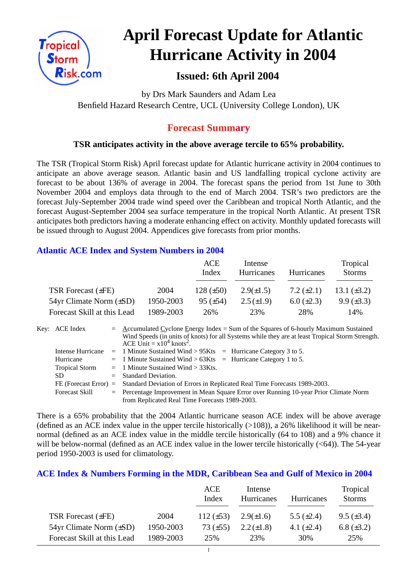

# **April Forecast Update for Atlantic Hurricane Activity in 2004**

# **Issued: 6th April 2004**

by Drs Mark Saunders and Adam Lea Benfield Hazard Research Centre, UCL (University College London), UK

## **Forecast Summary**

## **TSR anticipates activity in the above average tercile to 65% probability.**

The TSR (Tropical Storm Risk) April forecast update for Atlantic hurricane activity in 2004 continues to anticipate an above average season. Atlantic basin and US landfalling tropical cyclone activity are forecast to be about 136% of average in 2004. The forecast spans the period from 1st June to 30th November 2004 and employs data through to the end of March 2004. TSR's two predictors are the forecast July-September 2004 trade wind speed over the Caribbean and tropical North Atlantic, and the forecast August-September 2004 sea surface temperature in the tropical North Atlantic. At present TSR anticipates both predictors having a moderate enhancing effect on activity. Monthly updated forecasts will be issued through to August 2004. Appendices give forecasts from prior months.

### **Atlantic ACE Index and System Numbers in 2004**

|                                |           | ACE<br>Index    | Intense<br><b>Hurricanes</b> | <b>Hurricanes</b> | Tropical<br><b>Storms</b> |
|--------------------------------|-----------|-----------------|------------------------------|-------------------|---------------------------|
| TSR Forecast (±FE)             | 2004      | 128 $(\pm 50)$  | $2.9(\pm 1.5)$               | 7.2 $(\pm 2.1)$   | 13.1 $(\pm 3.2)$          |
| $54yr$ Climate Norm $(\pm SD)$ | 1950-2003 | $95 \ (\pm 54)$ | $2.5(\pm 1.9)$               | $6.0 (\pm 2.3)$   | $9.9 \ (\pm 3.3)$         |
| Forecast Skill at this Lead    | 1989-2003 | 26%             | 23%                          | 28%               | 14%                       |

| Key: ACE Index        | $=$ Accumulated Cyclone Energy Index = Sum of the Squares of 6-hourly Maximum Sustained          |
|-----------------------|--------------------------------------------------------------------------------------------------|
|                       | Wind Speeds (in units of knots) for all Systems while they are at least Tropical Storm Strength. |
|                       | ACE Unit = $x10^4$ knots <sup>2</sup> .                                                          |
| Intense Hurricane     | $=$ 1 Minute Sustained Wind > 95Kts $=$ Hurricane Category 3 to 5.                               |
| Hurricane             | $=$ 1 Minute Sustained Wind > 63Kts $=$ Hurricane Category 1 to 5.                               |
| <b>Tropical Storm</b> | $=$ 1 Minute Sustained Wind $>$ 33Kts.                                                           |
| <b>SD</b>             | $=$ Standard Deviation.                                                                          |
|                       | FE (Forecast Error) = Standard Deviation of Errors in Replicated Real Time Forecasts 1989-2003.  |
| <b>Forecast Skill</b> | = Percentage Improvement in Mean Square Error over Running 10-year Prior Climate Norm            |
|                       | from Replicated Real Time Forecasts 1989-2003.                                                   |

There is a 65% probability that the 2004 Atlantic hurricane season ACE index will be above average (defined as an ACE index value in the upper tercile historically  $(>108)$ ), a 26% likelihood it will be nearnormal (defined as an ACE index value in the middle tercile historically (64 to 108) and a 9% chance it will be below-normal (defined as an ACE index value in the lower tercile historically  $( $64$ )$ ). The 54-year period 1950-2003 is used for climatology.

#### **ACE Index & Numbers Forming in the MDR, Caribbean Sea and Gulf of Mexico in 2004**

|                                |           | ACE<br>Index   | Intense<br>Hurricanes | <b>Hurricanes</b> | Tropical<br><b>Storms</b> |
|--------------------------------|-----------|----------------|-----------------------|-------------------|---------------------------|
| TSR Forecast $(\pm FE)$        | 2004      | 112 $(\pm 53)$ | $2.9(\pm 1.6)$        | 5.5 $(\pm 2.4)$   | $9.5 \ (\pm 3.4)$         |
| $54yr$ Climate Norm $(\pm SD)$ | 1950-2003 | 73 $(\pm 55)$  | $2.2 \ (\pm 1.8)$     | 4.1 $(\pm 2.4)$   | 6.8 $(\pm 3.2)$           |
| Forecast Skill at this Lead    | 1989-2003 | 25%            | 23%                   | 30%               | 25%                       |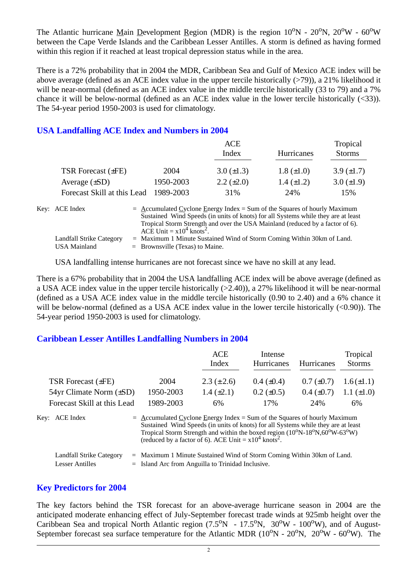The Atlantic hurricane Main Development Region (MDR) is the region  $10^{\circ}N - 20^{\circ}N$ ,  $20^{\circ}W - 60^{\circ}W$ between the Cape Verde Islands and the Caribbean Lesser Antilles. A storm is defined as having formed within this region if it reached at least tropical depression status while in the area.

There is a 72% probability that in 2004 the MDR, Caribbean Sea and Gulf of Mexico ACE index will be above average (defined as an ACE index value in the upper tercile historically  $(>79)$ ), a 21% likelihood it will be near-normal (defined as an ACE index value in the middle tercile historically (33 to 79) and a 7% chance it will be below-normal (defined as an ACE index value in the lower tercile historically (<33)). The 54-year period 1950-2003 is used for climatology.

#### **USA Landfalling ACE Index and Numbers in 2004**

|                             |           | ACE                                                                                                                                                                                                                                               |                   | Tropical        |
|-----------------------------|-----------|---------------------------------------------------------------------------------------------------------------------------------------------------------------------------------------------------------------------------------------------------|-------------------|-----------------|
|                             |           | Index                                                                                                                                                                                                                                             | Hurricanes        | <b>Storms</b>   |
| TSR Forecast $(\pm FE)$     | 2004      | $3.0 (\pm 1.3)$                                                                                                                                                                                                                                   | $1.8 (\pm 1.0)$   | 3.9 $(\pm 1.7)$ |
| Average $(\pm SD)$          | 1950-2003 | $2.2 \ (\pm 2.0)$                                                                                                                                                                                                                                 | $1.4 \ (\pm 1.2)$ | $3.0 (\pm 1.9)$ |
| Forecast Skill at this Lead | 1989-2003 | 31%                                                                                                                                                                                                                                               | 24%               | 15%             |
| Key: ACE Index              |           | $=$ Accumulated Cyclone Energy Index = Sum of the Squares of hourly Maximum<br>Sustained Wind Speeds (in units of knots) for all Systems while they are at least<br>Tropical Storm Strength and over the USA Mainland (reduced by a factor of 6). |                   |                 |

ACE Unit =  $x10^4$  knots<sup>2</sup>. Landfall Strike Category = Maximum 1 Minute Sustained Wind of Storm Coming Within 30km of Land. USA Mainland  $=$  Brownsville (Texas) to Maine.

USA landfalling intense hurricanes are not forecast since we have no skill at any lead.

There is a 67% probability that in 2004 the USA landfalling ACE index will be above average (defined as a USA ACE index value in the upper tercile historically (>2.40)), a 27% likelihood it will be near-normal (defined as a USA ACE index value in the middle tercile historically (0.90 to 2.40) and a 6% chance it will be below-normal (defined as a USA ACE index value in the lower tercile historically  $(<0.90$ )). The 54-year period 1950-2003 is used for climatology.

#### **Caribbean Lesser Antilles Landfalling Numbers in 2004**

|                                |                                                                             | <b>ACE</b>                                                                                                                                                                                                                            | Intense           |                   | Tropical        |
|--------------------------------|-----------------------------------------------------------------------------|---------------------------------------------------------------------------------------------------------------------------------------------------------------------------------------------------------------------------------------|-------------------|-------------------|-----------------|
|                                |                                                                             | Index                                                                                                                                                                                                                                 | <b>Hurricanes</b> | <b>Hurricanes</b> | <b>Storms</b>   |
| <b>TSR Forecast (±FE)</b>      | 2004                                                                        | $2.3 (\pm 2.6)$                                                                                                                                                                                                                       | $0.4~(\pm 0.4)$   | $0.7 (\pm 0.7)$   | $1.6(\pm 1.1)$  |
| $54yr$ Climate Norm $(\pm SD)$ | 1950-2003                                                                   | $1.4 (\pm 2.1)$                                                                                                                                                                                                                       | $0.2 \ (\pm 0.5)$ | $0.4~(\pm 0.7)$   | 1.1 $(\pm 1.0)$ |
| Forecast Skill at this Lead    | 1989-2003                                                                   | 6%                                                                                                                                                                                                                                    | 17%               | 24%               | 6%              |
| Key: ACE Index                 | $=$ Accumulated Cyclone Energy Index = Sum of the Squares of hourly Maximum | Sustained Wind Speeds (in units of knots) for all Systems while they are at least<br>Tropical Storm Strength and within the boxed region (10°N-18°N,60°W-63°W)<br>(reduced by a factor of 6). ACE Unit = $x10^4$ knots <sup>2</sup> . |                   |                   |                 |
| Landfall Strike Category       | $=$ Maximum 1 Minute Sustained Wind of Storm Coming Within 30km of Land.    |                                                                                                                                                                                                                                       |                   |                   |                 |
| <b>Lesser Antilles</b>         | $=$ Island Arc from Anguilla to Trinidad Inclusive.                         |                                                                                                                                                                                                                                       |                   |                   |                 |

#### **Key Predictors for 2004**

The key factors behind the TSR forecast for an above-average hurricane season in 2004 are the anticipated moderate enhancing effect of July-September forecast trade winds at 925mb height over the Caribbean Sea and tropical North Atlantic region  $(7.5^{\circ}N - 17.5^{\circ}N, 30^{\circ}W - 100^{\circ}W)$ , and of August-September forecast sea surface temperature for the Atlantic MDR  $(10^{\circ}N - 20^{\circ}N, 20^{\circ}W - 60^{\circ}W)$ . The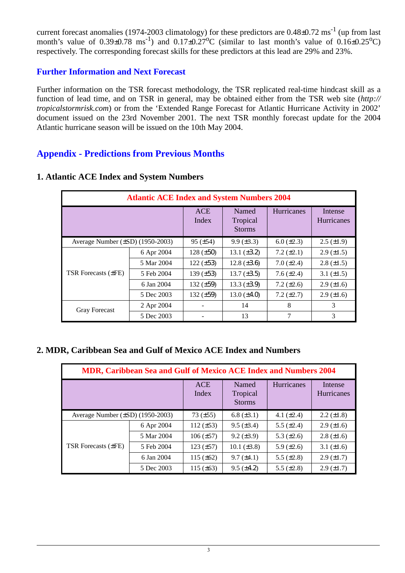current forecast anomalies (1974-2003 climatology) for these predictors are  $0.48\pm0.72$  ms<sup>-1</sup> (up from last month's value of  $0.39\pm0.78$  ms<sup>-1</sup>) and  $0.17\pm0.27$ °C (similar to last month's value of  $0.16\pm0.25$ °C) respectively. The corresponding forecast skills for these predictors at this lead are 29% and 23%.

## **Further Information and Next Forecast**

Further information on the TSR forecast methodology, the TSR replicated real-time hindcast skill as a function of lead time, and on TSR in general, may be obtained either from the TSR web site (*http:// tropicalstormrisk.com*) or from the 'Extended Range Forecast for Atlantic Hurricane Activity in 2002' document issued on the 23rd November 2001. The next TSR monthly forecast update for the 2004 Atlantic hurricane season will be issued on the 10th May 2004.

## **Appendix - Predictions from Previous Months**

| <b>Atlantic ACE Index and System Numbers 2004</b> |            |                     |                                    |                   |                              |  |  |
|---------------------------------------------------|------------|---------------------|------------------------------------|-------------------|------------------------------|--|--|
|                                                   |            | <b>ACE</b><br>Index | Named<br>Tropical<br><b>Storms</b> | Hurricanes        | Intense<br><b>Hurricanes</b> |  |  |
| Average Number $(\pm SD)$ (1950-2003)             |            | $95 (\pm 54)$       | $9.9 \ (\pm 3.3)$                  | $6.0 \ (\pm 2.3)$ | $2.5 \ (\pm 1.9)$            |  |  |
|                                                   | 6 Apr 2004 | $128 (\pm 50)$      | 13.1 $(\pm 3.2)$                   | 7.2 $(\pm 2.1)$   | $2.9 \ (\pm 1.5)$            |  |  |
|                                                   | 5 Mar 2004 | $122 (\pm 53)$      | $12.8 (\pm 3.6)$                   | $7.0 (\pm 2.4)$   | $2.8 (\pm 1.5)$              |  |  |
| <b>TSR Forecasts (±FE)</b>                        | 5 Feb 2004 | 139 $(\pm 53)$      | $13.7 (\pm 3.5)$                   | 7.6 $(\pm 2.4)$   | 3.1 $(\pm 1.5)$              |  |  |
|                                                   | 6 Jan 2004 | 132 $(\pm 59)$      | $13.3 \ (\pm 3.9)$                 | 7.2 $(\pm 2.6)$   | $2.9 \ (\pm 1.6)$            |  |  |
|                                                   | 5 Dec 2003 | 132 $(\pm 59)$      | $13.0 (\pm 4.0)$                   | $7.2 (\pm 2.7)$   | $2.9 \ (\pm 1.6)$            |  |  |
| <b>Gray Forecast</b>                              | 2 Apr 2004 |                     | 14                                 | 8                 | 3                            |  |  |
|                                                   | 5 Dec 2003 |                     | 13                                 | 7                 | 3                            |  |  |

#### **1. Atlantic ACE Index and System Numbers**

#### **2. MDR, Caribbean Sea and Gulf of Mexico ACE Index and Numbers**

| <b>MDR, Caribbean Sea and Gulf of Mexico ACE Index and Numbers 2004</b> |            |                     |                                    |                   |                              |  |  |  |
|-------------------------------------------------------------------------|------------|---------------------|------------------------------------|-------------------|------------------------------|--|--|--|
|                                                                         |            | <b>ACE</b><br>Index | Named<br>Tropical<br><b>Storms</b> | <b>Hurricanes</b> | Intense<br><b>Hurricanes</b> |  |  |  |
| Average Number $(\pm SD)$ (1950-2003)                                   |            | $73 (\pm 55)$       | $6.8 (\pm 3.1)$                    | 4.1 $(\pm 2.4)$   | $2.2 \ (\pm 1.8)$            |  |  |  |
| <b>TSR Forecasts (±FE)</b>                                              | 6 Apr 2004 | $112 (\pm 53)$      | $9.5 (\pm 3.4)$                    | 5.5 $(\pm 2.4)$   | $2.9 \ (\pm 1.6)$            |  |  |  |
|                                                                         | 5 Mar 2004 | $106 (\pm 57)$      | $9.2 (\pm 3.9)$                    | 5.3 $(\pm 2.6)$   | $2.8 (\pm 1.6)$              |  |  |  |
|                                                                         | 5 Feb 2004 | $123 (\pm 57)$      | 10.1 $(\pm 3.8)$                   | 5.9 $(\pm 2.6)$   | 3.1 $(\pm 1.6)$              |  |  |  |
|                                                                         | 6 Jan 2004 | 115 $(\pm 62)$      | $9.7 (\pm 4.1)$                    | 5.5 $(\pm 2.8)$   | $2.9 \ (\pm 1.7)$            |  |  |  |
|                                                                         | 5 Dec 2003 | 115 $(\pm 63)$      | $9.5 (\pm 4.2)$                    | 5.5 $(\pm 2.8)$   | $2.9 \ (\pm 1.7)$            |  |  |  |